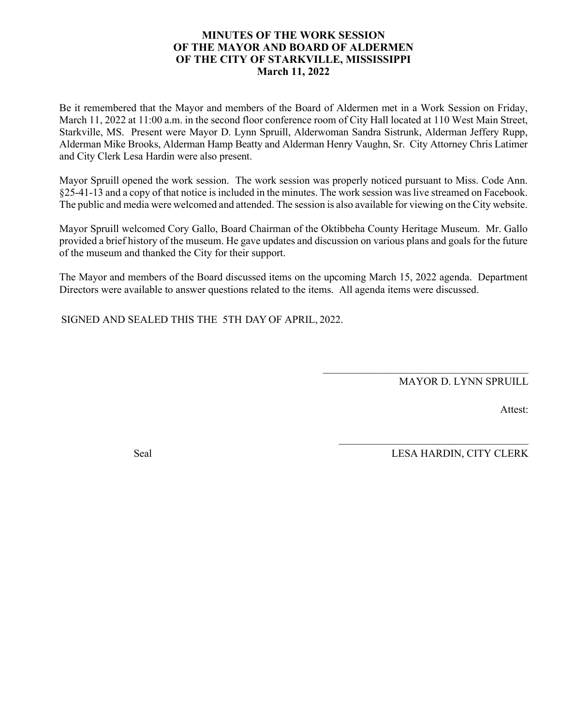#### **MINUTES OF THE WORK SESSION OF THE MAYOR AND BOARD OF ALDERMEN OF THE CITY OF STARKVILLE, MISSISSIPPI March 11, 2022**

Be it remembered that the Mayor and members of the Board of Aldermen met in a Work Session on Friday, March 11, 2022 at 11:00 a.m. in the second floor conference room of City Hall located at 110 West Main Street, Starkville, MS. Present were Mayor D. Lynn Spruill, Alderwoman Sandra Sistrunk, Alderman Jeffery Rupp, Alderman Mike Brooks, Alderman Hamp Beatty and Alderman Henry Vaughn, Sr. City Attorney Chris Latimer and City Clerk Lesa Hardin were also present.

Mayor Spruill opened the work session. The work session was properly noticed pursuant to Miss. Code Ann. §25-41-13 and a copy of that notice is included in the minutes. The work session waslive streamed on Facebook. The public and media were welcomed and attended. The session is also available for viewing on the City website.

Mayor Spruill welcomed Cory Gallo, Board Chairman of the Oktibbeha County Heritage Museum. Mr. Gallo provided a brief history of the museum. He gave updates and discussion on various plans and goals for the future of the museum and thanked the City for their support.

The Mayor and members of the Board discussed items on the upcoming March 15, 2022 agenda. Department Directors were available to answer questions related to the items. All agenda items were discussed.

SIGNED AND SEALED THIS THE 5TH DAY OF APRIL, 2022.

MAYOR D. LYNN SPRUILL

 $\mathcal{L}_\text{max}$  and  $\mathcal{L}_\text{max}$  and  $\mathcal{L}_\text{max}$  and  $\mathcal{L}_\text{max}$ 

\_\_\_\_\_\_\_\_\_\_\_\_\_\_\_\_\_\_\_\_\_\_\_\_\_\_\_\_\_\_\_\_\_\_\_\_

Attest:

Seal LESA HARDIN, CITY CLERK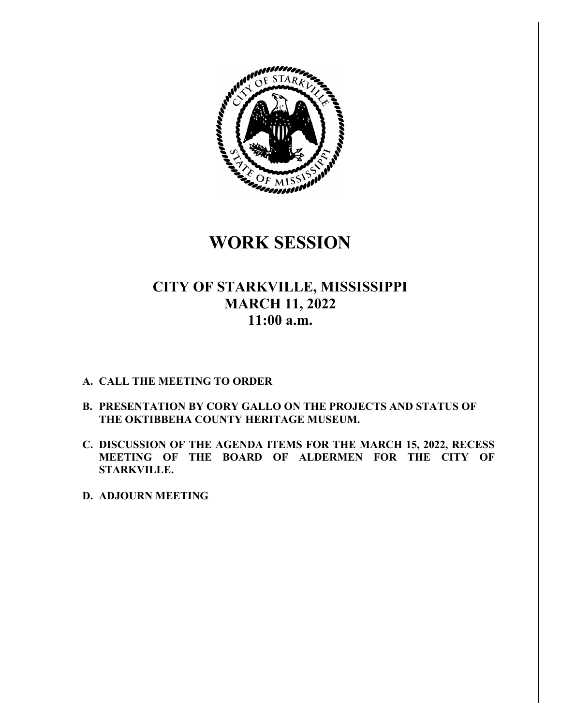

### **WORK SESSION**

### **CITY OF STARKVILLE, MISSISSIPPI MARCH 11, 2022 11:00 a.m.**

#### **A. CALL THE MEETING TO ORDER**

- **B. PRESENTATION BY CORY GALLO ON THE PROJECTS AND STATUS OF THE OKTIBBEHA COUNTY HERITAGE MUSEUM.**
- **C. DISCUSSION OF THE AGENDA ITEMS FOR THE MARCH 15, 2022, RECESS MEETING OF THE BOARD OF ALDERMEN FOR THE CITY OF STARKVILLE.**

**D. ADJOURN MEETING**